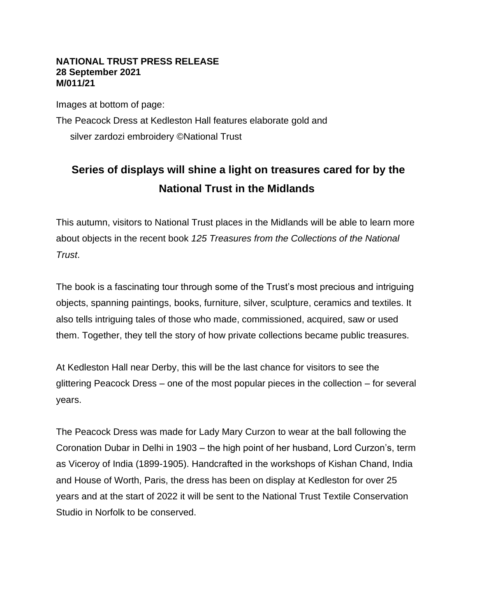## **NATIONAL TRUST PRESS RELEASE 28 September 2021 M/011/21**

Images at bottom of page: The Peacock Dress at Kedleston Hall features elaborate gold and silver zardozi embroidery ©National Trust

## **Series of displays will shine a light on treasures cared for by the National Trust in the Midlands**

This autumn, visitors to National Trust places in the Midlands will be able to learn more about objects in the recent book *125 Treasures from the Collections of the National Trust*.

The book is a fascinating tour through some of the Trust's most precious and intriguing objects, spanning paintings, books, furniture, silver, sculpture, ceramics and textiles. It also tells intriguing tales of those who made, commissioned, acquired, saw or used them. Together, they tell the story of how private collections became public treasures.

At Kedleston Hall near Derby, this will be the last chance for visitors to see the glittering Peacock Dress – one of the most popular pieces in the collection – for several years.

The Peacock Dress was made for Lady Mary Curzon to wear at the ball following the Coronation Dubar in Delhi in 1903 – the high point of her husband, Lord Curzon's, term as Viceroy of India (1899-1905). Handcrafted in the workshops of Kishan Chand, India and House of Worth, Paris, the dress has been on display at Kedleston for over 25 years and at the start of 2022 it will be sent to the National Trust Textile Conservation Studio in Norfolk to be conserved.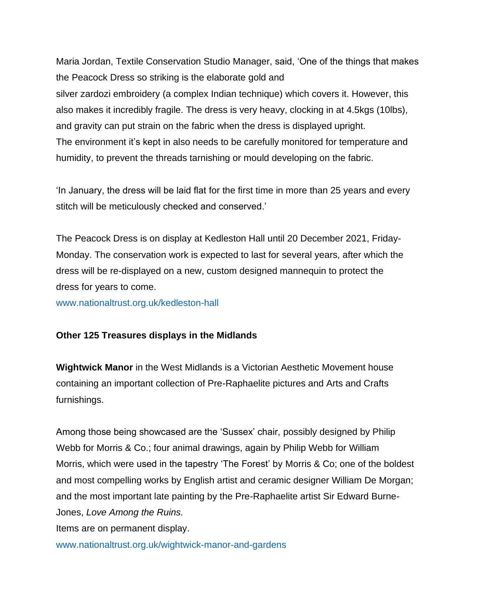Maria Jordan, Textile Conservation Studio Manager, said, 'One of the things that makes the Peacock Dress so striking is the elaborate gold and silver zardozi embroidery (a complex Indian technique) which covers it. However, this also makes it incredibly fragile. The dress is very heavy, clocking in at 4.5kgs (10lbs), and gravity can put strain on the fabric when the dress is displayed upright. The environment it's kept in also needs to be carefully monitored for temperature and humidity, to prevent the threads tarnishing or mould developing on the fabric.

'In January, the dress will be laid flat for the first time in more than 25 years and every stitch will be meticulously checked and conserved.'

The Peacock Dress is on display at Kedleston Hall until 20 December 2021, Friday-Monday. The conservation work is expected to last for several years, after which the dress will be re-displayed on a new, custom designed mannequin to protect the dress for years to come.

[www.nationaltrust.org.uk/kedleston-hall](http://www.nationaltrust.org.uk/kedleston-hall)

## **Other 125 Treasures displays in the Midlands**

**Wightwick Manor** in the West Midlands is a Victorian Aesthetic Movement house containing an important collection of Pre-Raphaelite pictures and Arts and Crafts furnishings.

Among those being showcased are the 'Sussex' chair, possibly designed by Philip Webb for Morris & Co.; four animal drawings, again by Philip Webb for William Morris, which were used in the tapestry 'The Forest' by Morris & Co; one of the boldest and most compelling works by English artist and ceramic designer William De Morgan; and the most important late painting by the Pre-Raphaelite artist Sir Edward Burne-Jones, *Love Among the Ruins.* Items are on permanent display.

[www.nationaltrust.org.uk/wightwick-manor-and-gardens](https://www.nationaltrust.org.uk/wightwick-manor-and-gardens)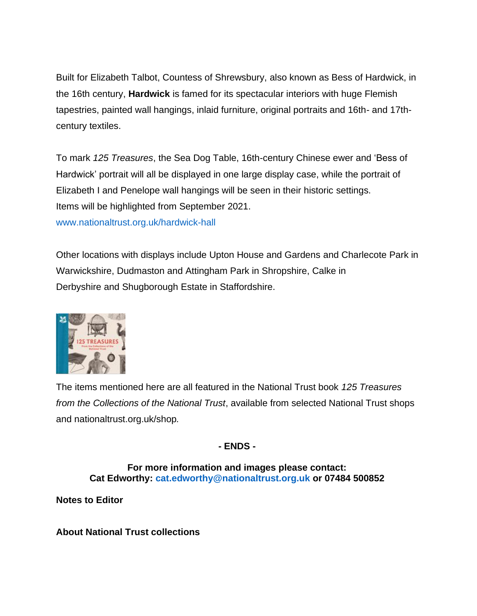Built for Elizabeth Talbot, Countess of Shrewsbury, also known as Bess of Hardwick, in the 16th century, **Hardwick** is famed for its spectacular interiors with huge Flemish tapestries, painted wall hangings, inlaid furniture, original portraits and 16th- and 17thcentury textiles.

To mark *125 Treasures*, the Sea Dog Table, 16th-century Chinese ewer and 'Bess of Hardwick' portrait will all be displayed in one large display case, while the portrait of Elizabeth I and Penelope wall hangings will be seen in their historic settings. Items will be highlighted from September 2021.

[www.nationaltrust.org.uk/hardwick-hall](https://www.nationaltrust.org.uk/hardwick-hall)

Other locations with displays include Upton House and Gardens and Charlecote Park in Warwickshire, Dudmaston and Attingham Park in Shropshire, Calke in Derbyshire and Shugborough Estate in Staffordshire.



The items mentioned here are all featured in the National Trust book *125 Treasures from the Collections of the National Trust*, available from selected National Trust shops and nationaltrust.org.uk/shop*.*

**- ENDS -**

**For more information and images please contact: Cat Edworthy: [cat.edworthy@nationaltrust.org.uk](mailto:cat.edworthy@nationaltrust.org.uk) or 07484 500852**

**Notes to Editor**

**About National Trust collections**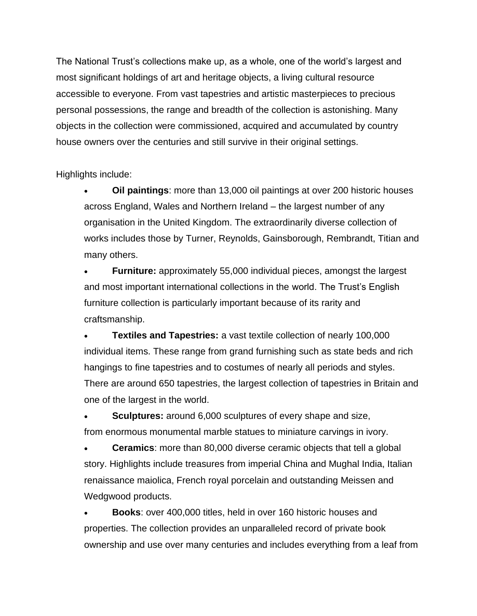The National Trust's collections make up, as a whole, one of the world's largest and most significant holdings of art and heritage objects, a living cultural resource accessible to everyone. From vast tapestries and artistic masterpieces to precious personal possessions, the range and breadth of the collection is astonishing. Many objects in the collection were commissioned, acquired and accumulated by country house owners over the centuries and still survive in their original settings.

Highlights include:

• **Oil paintings**: more than 13,000 oil paintings at over 200 historic houses across England, Wales and Northern Ireland – the largest number of any organisation in the United Kingdom. The extraordinarily diverse collection of works includes those by Turner, Reynolds, Gainsborough, Rembrandt, Titian and many others.

**Furniture:** approximately 55,000 individual pieces, amongst the largest and most important international collections in the world. The Trust's English furniture collection is particularly important because of its rarity and craftsmanship.

• **Textiles and Tapestries:** a vast textile collection of nearly 100,000 individual items. These range from grand furnishing such as state beds and rich hangings to fine tapestries and to costumes of nearly all periods and styles. There are around 650 tapestries, the largest collection of tapestries in Britain and one of the largest in the world.

**Sculptures:** around 6,000 sculptures of every shape and size, from enormous monumental marble statues to miniature carvings in ivory.

**Ceramics:** more than 80,000 diverse ceramic objects that tell a global story. Highlights include treasures from imperial China and Mughal India, Italian renaissance maiolica, French royal porcelain and outstanding Meissen and Wedgwood products.

• **Books**: over 400,000 titles, held in over 160 historic houses and properties. The collection provides an unparalleled record of private book ownership and use over many centuries and includes everything from a leaf from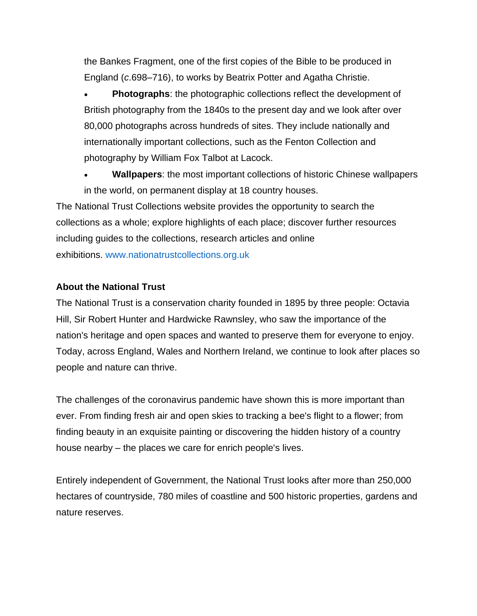the Bankes Fragment, one of the first copies of the Bible to be produced in England (*c*.698–716), to works by Beatrix Potter and Agatha Christie.

**Photographs:** the photographic collections reflect the development of British photography from the 1840s to the present day and we look after over 80,000 photographs across hundreds of sites. They include nationally and internationally important collections, such as the Fenton Collection and photography by William Fox Talbot at Lacock.

• **Wallpapers**: the most important collections of historic Chinese wallpapers in the world, on permanent display at 18 country houses. The National Trust Collections website provides the opportunity to search the collections as a whole; explore highlights of each place; discover further resources including guides to the collections, research articles and online exhibitions. [www.nationatrustcollections.org.uk](https://eur01.safelinks.protection.outlook.com/?url=http%3A%2F%2Fwww.nationatrustcollections.org.uk&data=02%7C01%7Calison.dalby%40nationaltrust.org.uk%7Cceef3f41ced34ce34d0708d747635e73%7C0fba79b96423460d88eff9c3d4ca2e9f%7C0%7C0%7C637056364416776104&sdata=QJ8%2BidXpMSQ3C13yyPhrZ%2B1PxDD7SmNtKV0sEEzpw30%3D&reserved=0)

## **About the National Trust**

The National Trust is a conservation charity founded in 1895 by three people: Octavia Hill, Sir Robert Hunter and Hardwicke Rawnsley, who saw the importance of the nation's heritage and open spaces and wanted to preserve them for everyone to enjoy. Today, across England, Wales and Northern Ireland, we continue to look after places so people and nature can thrive.

The challenges of the coronavirus pandemic have shown this is more important than ever. From finding fresh air and open skies to tracking a bee's flight to a flower; from finding beauty in an exquisite painting or discovering the hidden history of a country house nearby – the places we care for enrich people's lives.

Entirely independent of Government, the National Trust looks after more than 250,000 hectares of countryside, 780 miles of coastline and 500 historic properties, gardens and nature reserves.